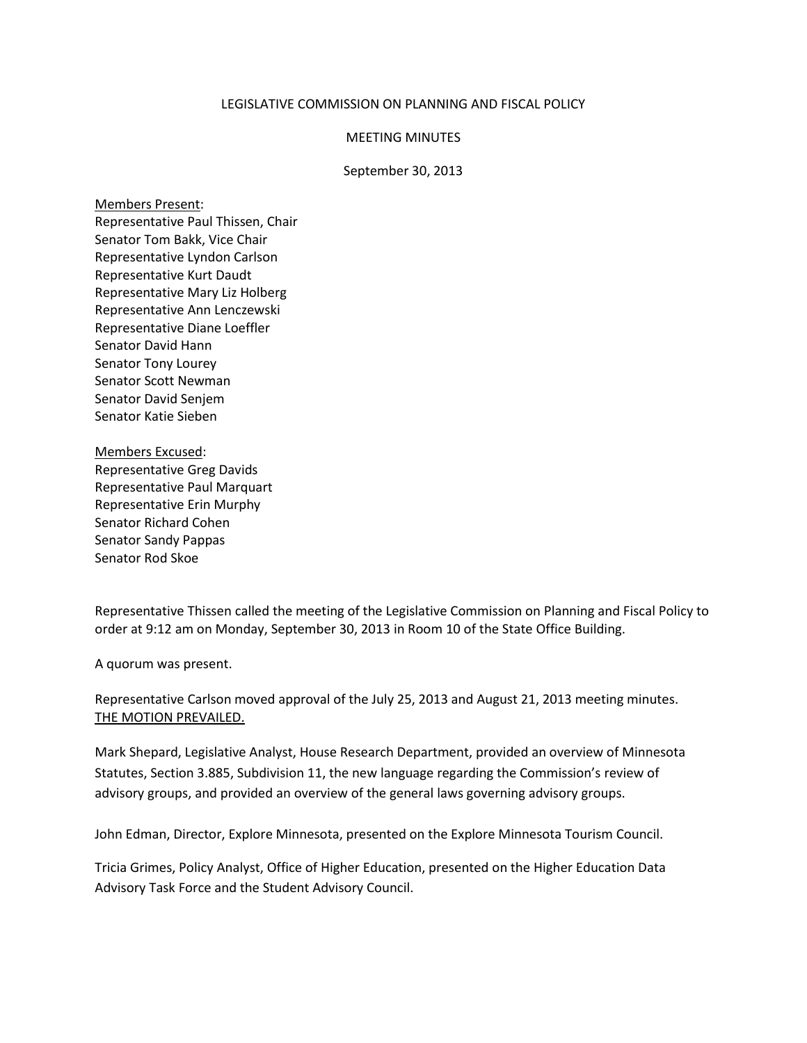## LEGISLATIVE COMMISSION ON PLANNING AND FISCAL POLICY

## MEETING MINUTES

## September 30, 2013

## Members Present:

Representative Paul Thissen, Chair Senator Tom Bakk, Vice Chair Representative Lyndon Carlson Representative Kurt Daudt Representative Mary Liz Holberg Representative Ann Lenczewski Representative Diane Loeffler Senator David Hann Senator Tony Lourey Senator Scott Newman Senator David Senjem Senator Katie Sieben

Members Excused: Representative Greg Davids Representative Paul Marquart Representative Erin Murphy Senator Richard Cohen Senator Sandy Pappas Senator Rod Skoe

Representative Thissen called the meeting of the Legislative Commission on Planning and Fiscal Policy to order at 9:12 am on Monday, September 30, 2013 in Room 10 of the State Office Building.

A quorum was present.

Representative Carlson moved approval of the July 25, 2013 and August 21, 2013 meeting minutes. THE MOTION PREVAILED.

Mark Shepard, Legislative Analyst, House Research Department, provided an overview of Minnesota Statutes, Section 3.885, Subdivision 11, the new language regarding the Commission's review of advisory groups, and provided an overview of the general laws governing advisory groups.

John Edman, Director, Explore Minnesota, presented on the Explore Minnesota Tourism Council.

Tricia Grimes, Policy Analyst, Office of Higher Education, presented on the Higher Education Data Advisory Task Force and the Student Advisory Council.